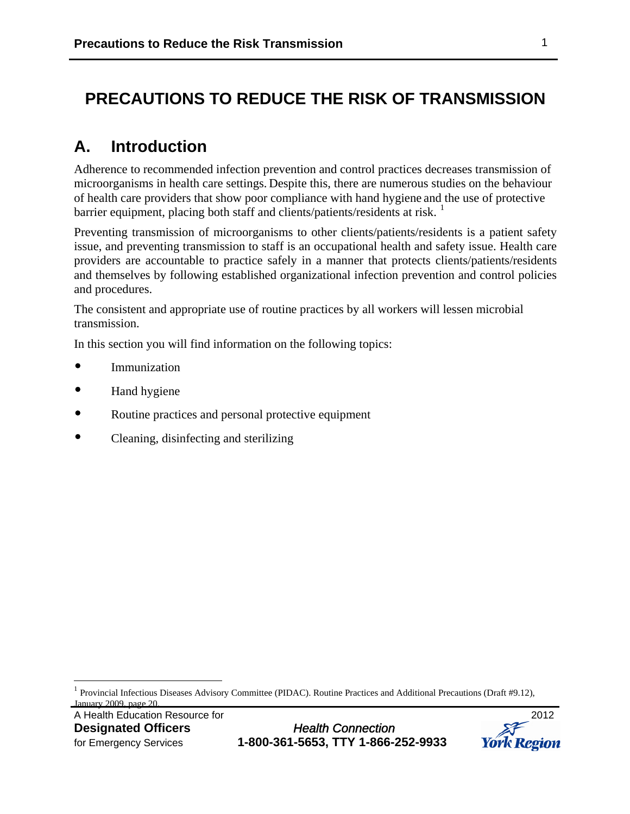## **PRECAUTIONS TO REDUCE THE RISK OF TRANSMISSION**

## **A. Introduction**

Adherence to recommended infection prevention and control practices decreases transmission of microorganisms in health care settings. Despite this, there are numerous studies on the behaviour of health care providers that show poor compliance with hand hygiene and the use of protective barrier equipment, placing both staff and clients/patients/residents at risk.  $1$ 

Preventing transmission of microorganisms to other clients/patients/residents is a patient safety issue, and preventing transmission to staff is an occupational health and safety issue. Health care providers are accountable to practice safely in a manner that protects clients/patients/residents and themselves by following established organizational infection prevention and control policies and procedures.

The consistent and appropriate use of routine practices by all workers will lessen microbial transmission.

In this section you will find information on the following topics:

- Immunization
- Hand hygiene
- Routine practices and personal protective equipment
- Cleaning, disinfecting and sterilizing

 $\overline{a}$ 



<span id="page-0-0"></span><sup>1</sup> Provincial Infectious Diseases Advisory Committee (PIDAC). Routine Practices and Additional Precautions (Draft #9.12), January 2009, page 20.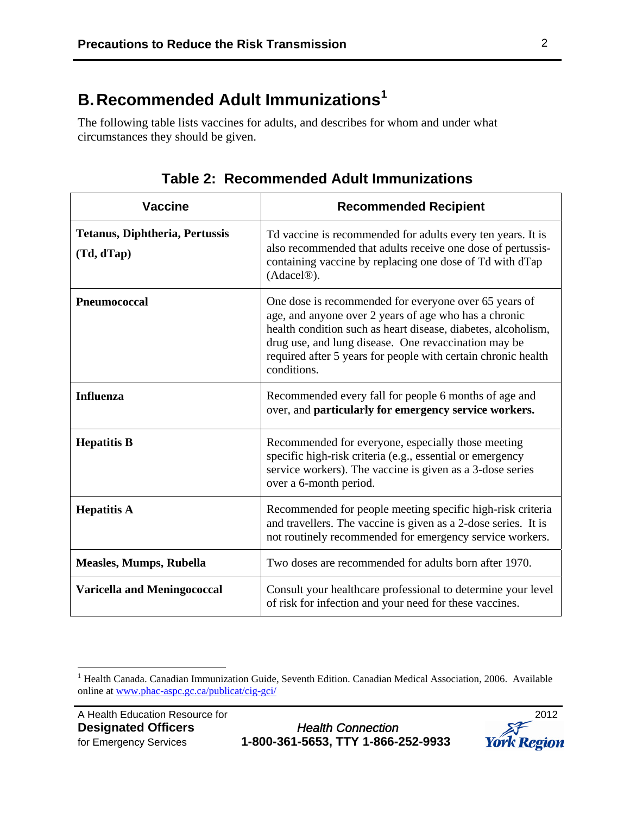# **B.Recommended Adult Immunizations[1](#page-1-0)**

The following table lists vaccines for adults, and describes for whom and under what circumstances they should be given.

| <b>Vaccine</b>                                      | <b>Recommended Recipient</b>                                                                                                                                                                                                                                                                                            |  |
|-----------------------------------------------------|-------------------------------------------------------------------------------------------------------------------------------------------------------------------------------------------------------------------------------------------------------------------------------------------------------------------------|--|
| <b>Tetanus, Diphtheria, Pertussis</b><br>(Td, dTap) | Td vaccine is recommended for adults every ten years. It is<br>also recommended that adults receive one dose of pertussis-<br>containing vaccine by replacing one dose of Td with dTap<br>(Adacel <sup>®</sup> ).                                                                                                       |  |
| Pneumococcal                                        | One dose is recommended for everyone over 65 years of<br>age, and anyone over 2 years of age who has a chronic<br>health condition such as heart disease, diabetes, alcoholism,<br>drug use, and lung disease. One revaccination may be<br>required after 5 years for people with certain chronic health<br>conditions. |  |
| <b>Influenza</b>                                    | Recommended every fall for people 6 months of age and<br>over, and particularly for emergency service workers.                                                                                                                                                                                                          |  |
| <b>Hepatitis B</b>                                  | Recommended for everyone, especially those meeting<br>specific high-risk criteria (e.g., essential or emergency<br>service workers). The vaccine is given as a 3-dose series<br>over a 6-month period.                                                                                                                  |  |
| <b>Hepatitis A</b>                                  | Recommended for people meeting specific high-risk criteria<br>and travellers. The vaccine is given as a 2-dose series. It is<br>not routinely recommended for emergency service workers.                                                                                                                                |  |
| <b>Measles, Mumps, Rubella</b>                      | Two doses are recommended for adults born after 1970.                                                                                                                                                                                                                                                                   |  |
| <b>Varicella and Meningococcal</b>                  | Consult your healthcare professional to determine your level<br>of risk for infection and your need for these vaccines.                                                                                                                                                                                                 |  |

**Table 2: Recommended Adult Immunizations**



<span id="page-1-0"></span> 1 Health Canada. Canadian Immunization Guide, Seventh Edition. Canadian Medical Association, 2006. Available online at [www.phac-aspc.gc.ca/publicat/cig-gci/](http://www.phac-aspc.gc.ca/publicat/cig-gci/)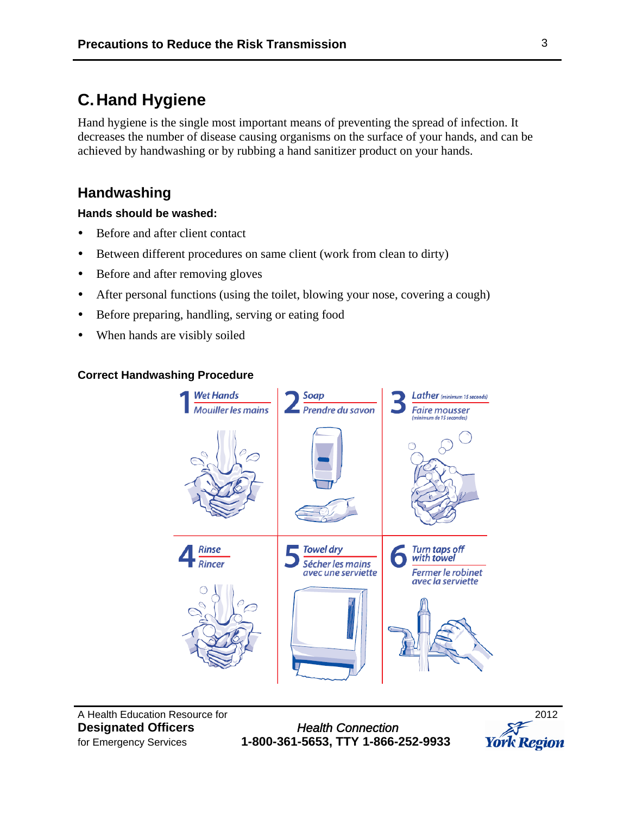## **C.Hand Hygiene**

Hand hygiene is the single most important means of preventing the spread of infection. It decreases the number of disease causing organisms on the surface of your hands, and can be achieved by handwashing or by rubbing a hand sanitizer product on your hands.

### **Handwashing**

#### **Hands should be washed:**

- Before and after client contact
- Between different procedures on same client (work from clean to dirty)
- Before and after removing gloves
- After personal functions (using the toilet, blowing your nose, covering a cough)
- Before preparing, handling, serving or eating food
- When hands are visibly soiled

#### **Correct Handwashing Procedure**



A Health Education Resource for 2012

**Designated Officers** *Health Connection* for Emergency Services **1-800-361-5653, TTY 1-866-252-9933** 

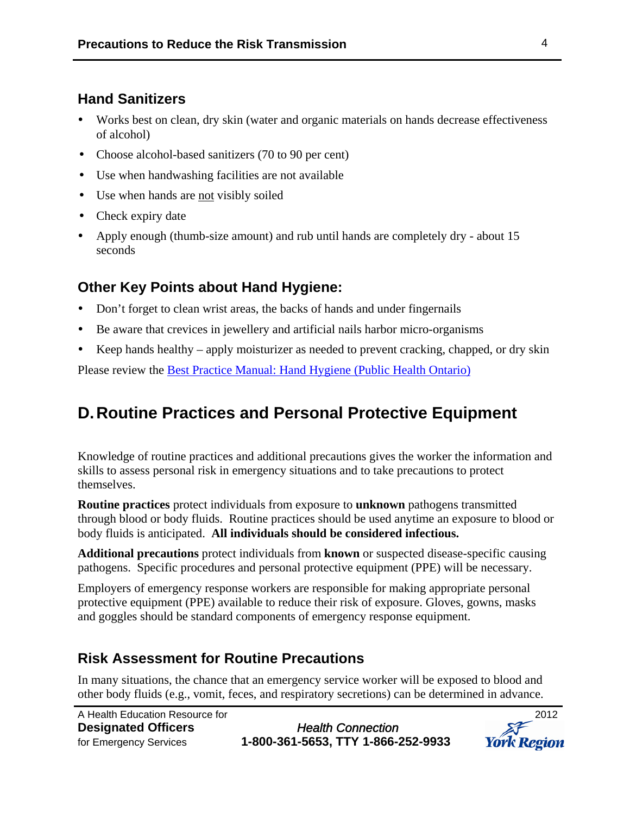### **Hand Sanitizers**

- Works best on clean, dry skin (water and organic materials on hands decrease effectiveness of alcohol)
- Choose alcohol-based sanitizers (70 to 90 per cent)
- Use when handwashing facilities are not available
- Use when hands are not visibly soiled
- Check expiry date
- Apply enough (thumb-size amount) and rub until hands are completely dry about 15 seconds

### **Other Key Points about Hand Hygiene:**

- Don't forget to clean wrist areas, the backs of hands and under fingernails
- Be aware that crevices in jewellery and artificial nails harbor micro-organisms
- Keep hands healthy apply moisturizer as needed to prevent cracking, chapped, or dry skin

Please review the [Best Practice Manual: Hand Hygiene \(Public Health Ontario\)](http://www.oahpp.ca/resources/pidac-knowledge/best-practice-manuals/hand-hygiene.html)

# **D.Routine Practices and Personal Protective Equipment**

Knowledge of routine practices and additional precautions gives the worker the information and skills to assess personal risk in emergency situations and to take precautions to protect themselves.

**Routine practices** protect individuals from exposure to **unknown** pathogens transmitted through blood or body fluids. Routine practices should be used anytime an exposure to blood or body fluids is anticipated. **All individuals should be considered infectious.**

**Additional precautions** protect individuals from **known** or suspected disease-specific causing pathogens. Specific procedures and personal protective equipment (PPE) will be necessary.

Employers of emergency response workers are responsible for making appropriate personal protective equipment (PPE) available to reduce their risk of exposure. Gloves, gowns, masks and goggles should be standard components of emergency response equipment.

### **Risk Assessment for Routine Precautions**

In many situations, the chance that an emergency service worker will be exposed to blood and other body fluids (e.g., vomit, feces, and respiratory secretions) can be determined in advance.

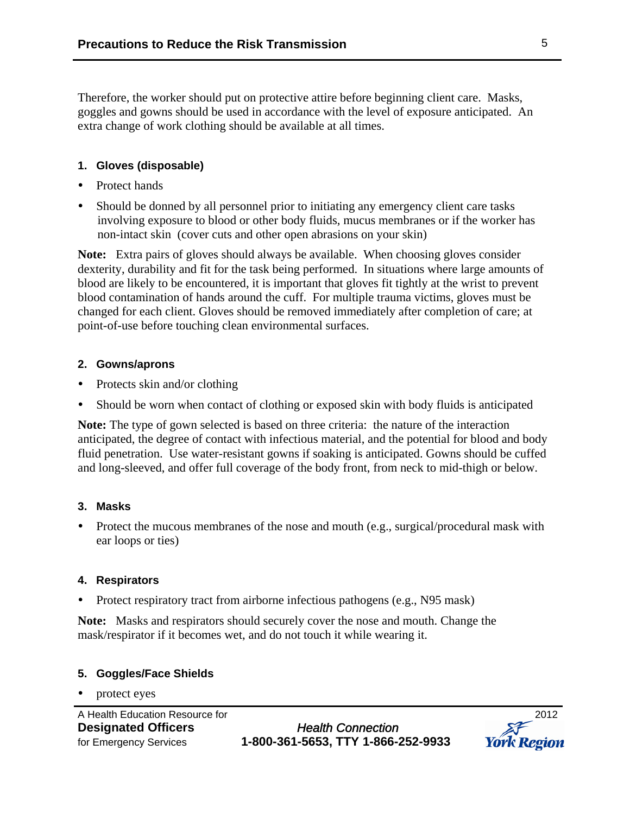Therefore, the worker should put on protective attire before beginning client care. Masks, goggles and gowns should be used in accordance with the level of exposure anticipated. An extra change of work clothing should be available at all times.

#### **1. Gloves (disposable)**

- Protect hands
- Should be donned by all personnel prior to initiating any emergency client care tasks involving exposure to blood or other body fluids, mucus membranes or if the worker has non-intact skin (cover cuts and other open abrasions on your skin)

**Note:** Extra pairs of gloves should always be available. When choosing gloves consider dexterity, durability and fit for the task being performed. In situations where large amounts of blood are likely to be encountered, it is important that gloves fit tightly at the wrist to prevent blood contamination of hands around the cuff. For multiple trauma victims, gloves must be changed for each client. Gloves should be removed immediately after completion of care; at point-of-use before touching clean environmental surfaces.

#### **2. Gowns/aprons**

- Protects skin and/or clothing
- Should be worn when contact of clothing or exposed skin with body fluids is anticipated

**Note:** The type of gown selected is based on three criteria: the nature of the interaction anticipated, the degree of contact with infectious material, and the potential for blood and body fluid penetration. Use water-resistant gowns if soaking is anticipated. Gowns should be cuffed and long-sleeved, and offer full coverage of the body front, from neck to mid-thigh or below.

#### **3. Masks**

• Protect the mucous membranes of the nose and mouth (e.g., surgical/procedural mask with ear loops or ties)

#### **4. Respirators**

• Protect respiratory tract from airborne infectious pathogens (e.g., N95 mask)

**Note:** Masks and respirators should securely cover the nose and mouth. Change the mask/respirator if it becomes wet, and do not touch it while wearing it.

#### **5. Goggles/Face Shields**

protect eyes

**Designated Officers** *Health Connection* for Emergency Services **1-800-361-5653, TTY 1-866-252-9933** 

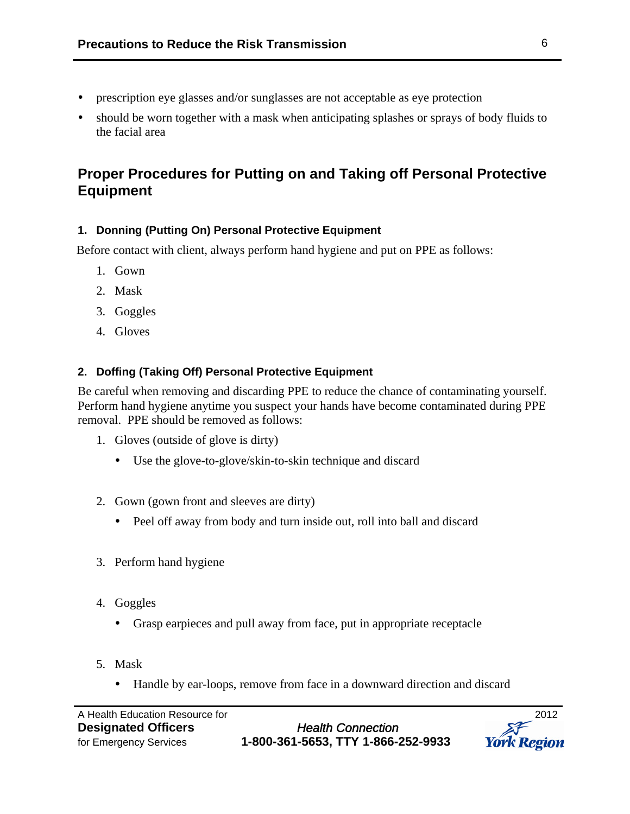- prescription eye glasses and/or sunglasses are not acceptable as eye protection
- should be worn together with a mask when anticipating splashes or sprays of body fluids to the facial area

## **Proper Procedures for Putting on and Taking off Personal Protective Equipment**

#### **1. Donning (Putting On) Personal Protective Equipment**

Before contact with client, always perform hand hygiene and put on PPE as follows:

- 1. Gown
- 2. Mask
- 3. Goggles
- 4. Gloves

#### **2. Doffing (Taking Off) Personal Protective Equipment**

Be careful when removing and discarding PPE to reduce the chance of contaminating yourself. Perform hand hygiene anytime you suspect your hands have become contaminated during PPE removal. PPE should be removed as follows:

- 1. Gloves (outside of glove is dirty)
	- Use the glove-to-glove/skin-to-skin technique and discard
- 2. Gown (gown front and sleeves are dirty)
	- Peel off away from body and turn inside out, roll into ball and discard
- 3. Perform hand hygiene
- 4. Goggles
	- Grasp earpieces and pull away from face, put in appropriate receptacle
- 5. Mask
	- Handle by ear-loops, remove from face in a downward direction and discard

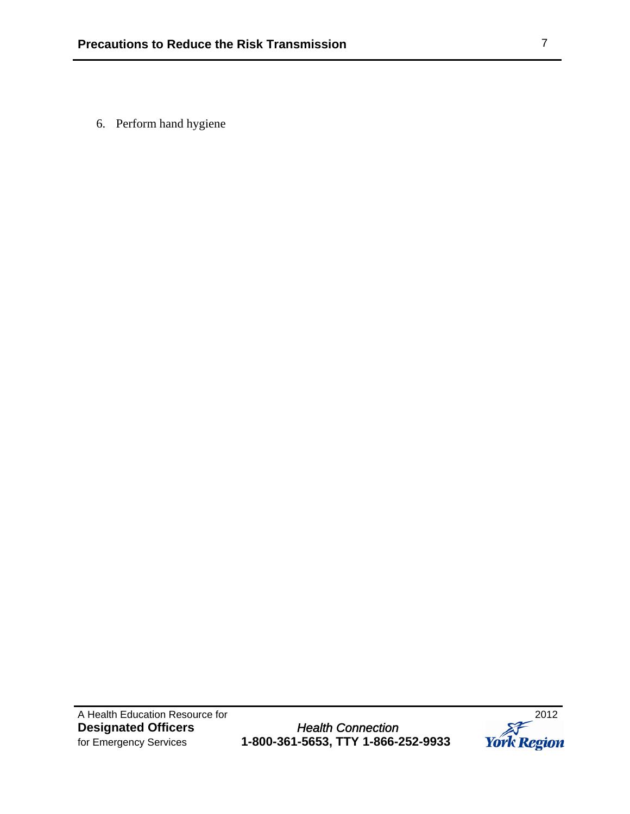6. Perform hand hygiene

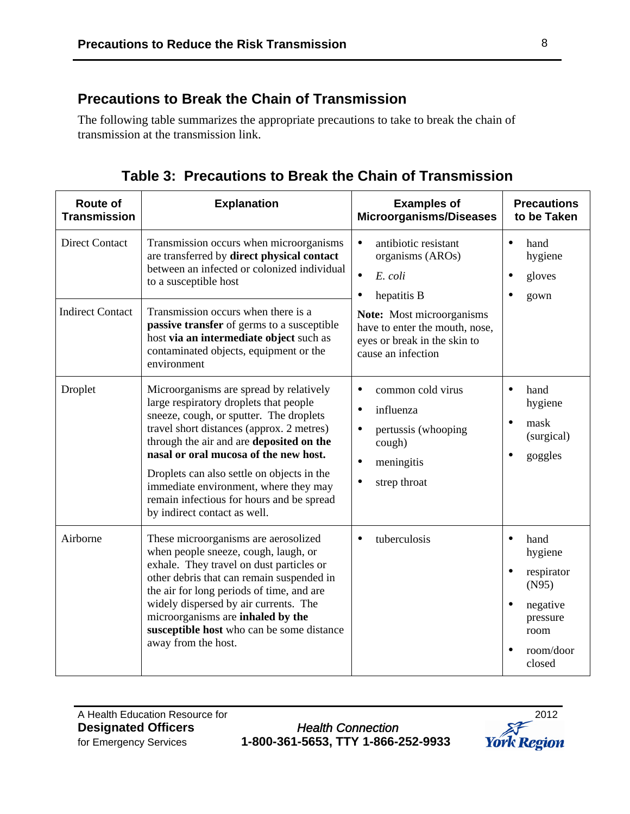## **Precautions to Break the Chain of Transmission**

The following table summarizes the appropriate precautions to take to break the chain of transmission at the transmission link.

| <b>Route of</b><br><b>Transmission</b> | <b>Explanation</b>                                                                                                                                                                                                                                                                                                                                                                                                                 | <b>Examples of</b><br><b>Microorganisms/Diseases</b>                                                                                                           | <b>Precautions</b><br>to be Taken                                                                                                                 |
|----------------------------------------|------------------------------------------------------------------------------------------------------------------------------------------------------------------------------------------------------------------------------------------------------------------------------------------------------------------------------------------------------------------------------------------------------------------------------------|----------------------------------------------------------------------------------------------------------------------------------------------------------------|---------------------------------------------------------------------------------------------------------------------------------------------------|
| <b>Direct Contact</b>                  | Transmission occurs when microorganisms<br>are transferred by direct physical contact<br>between an infected or colonized individual<br>to a susceptible host                                                                                                                                                                                                                                                                      | antibiotic resistant<br>$\bullet$<br>organisms (AROs)<br>$\bullet$<br>E. coli<br>hepatitis B<br>$\bullet$                                                      | $\bullet$<br>hand<br>hygiene<br>gloves<br>$\bullet$<br>gown                                                                                       |
| <b>Indirect Contact</b>                | Transmission occurs when there is a<br>passive transfer of germs to a susceptible<br>host via an intermediate object such as<br>contaminated objects, equipment or the<br>environment                                                                                                                                                                                                                                              | <b>Note:</b> Most microorganisms<br>have to enter the mouth, nose,<br>eyes or break in the skin to<br>cause an infection                                       |                                                                                                                                                   |
| Droplet                                | Microorganisms are spread by relatively<br>large respiratory droplets that people<br>sneeze, cough, or sputter. The droplets<br>travel short distances (approx. 2 metres)<br>through the air and are deposited on the<br>nasal or oral mucosa of the new host.<br>Droplets can also settle on objects in the<br>immediate environment, where they may<br>remain infectious for hours and be spread<br>by indirect contact as well. | common cold virus<br>$\bullet$<br>influenza<br>$\bullet$<br>$\bullet$<br>pertussis (whooping<br>cough)<br>$\bullet$<br>meningitis<br>strep throat<br>$\bullet$ | $\bullet$<br>hand<br>hygiene<br>mask<br>$\bullet$<br>(surgical)<br>$\bullet$<br>goggles                                                           |
| Airborne                               | These microorganisms are aerosolized<br>when people sneeze, cough, laugh, or<br>exhale. They travel on dust particles or<br>other debris that can remain suspended in<br>the air for long periods of time, and are<br>widely dispersed by air currents. The<br>microorganisms are inhaled by the<br>susceptible host who can be some distance<br>away from the host.                                                               | tuberculosis<br>$\bullet$                                                                                                                                      | $\bullet$<br>hand<br>hygiene<br>respirator<br>$\bullet$<br>(N95)<br>$\bullet$<br>negative<br>pressure<br>room<br>room/door<br>$\bullet$<br>closed |

**Table 3: Precautions to Break the Chain of Transmission** 

A Health Education Resource for 2012

**Designated Officers** *Health Connection* for Emergency Services **1-800-361-5653, TTY 1-866-252-9933** 

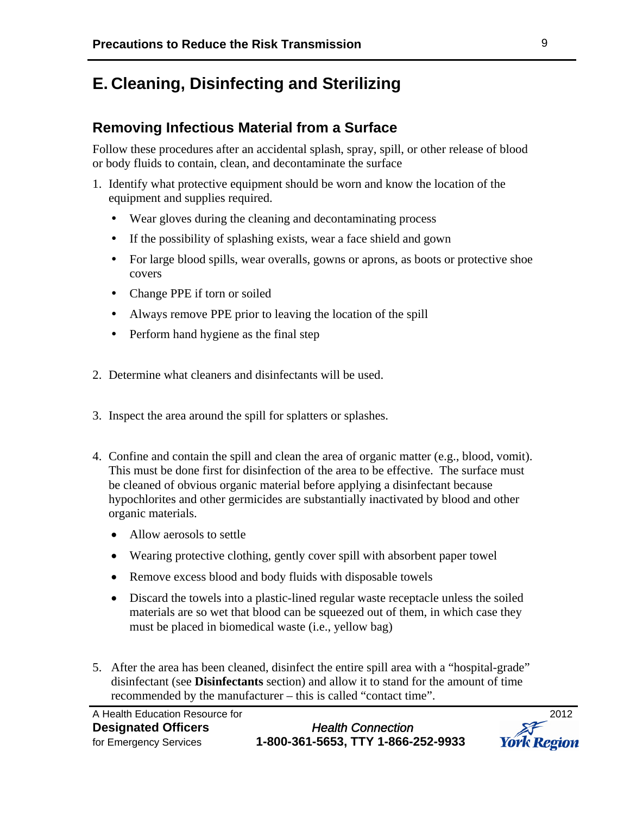## **E. Cleaning, Disinfecting and Sterilizing**

### **Removing Infectious Material from a Surface**

Follow these procedures after an accidental splash, spray, spill, or other release of blood or body fluids to contain, clean, and decontaminate the surface

- 1. Identify what protective equipment should be worn and know the location of the equipment and supplies required.
	- Wear gloves during the cleaning and decontaminating process
	- If the possibility of splashing exists, wear a face shield and gown
	- For large blood spills, wear overalls, gowns or aprons, as boots or protective shoe covers
	- Change PPE if torn or soiled
	- Always remove PPE prior to leaving the location of the spill
	- Perform hand hygiene as the final step
- 2. Determine what cleaners and disinfectants will be used.
- 3. Inspect the area around the spill for splatters or splashes.
- 4. Confine and contain the spill and clean the area of organic matter (e.g., blood, vomit). This must be done first for disinfection of the area to be effective. The surface must be cleaned of obvious organic material before applying a disinfectant because hypochlorites and other germicides are substantially inactivated by blood and other organic materials.
	- Allow aerosols to settle
	- Wearing protective clothing, gently cover spill with absorbent paper towel
	- Remove excess blood and body fluids with disposable towels
	- Discard the towels into a plastic-lined regular waste receptacle unless the soiled materials are so wet that blood can be squeezed out of them, in which case they must be placed in biomedical waste (i.e., yellow bag)
- 5. After the area has been cleaned, disinfect the entire spill area with a "hospital-grade" disinfectant (see **Disinfectants** section) and allow it to stand for the amount of time recommended by the manufacturer – this is called "contact time".

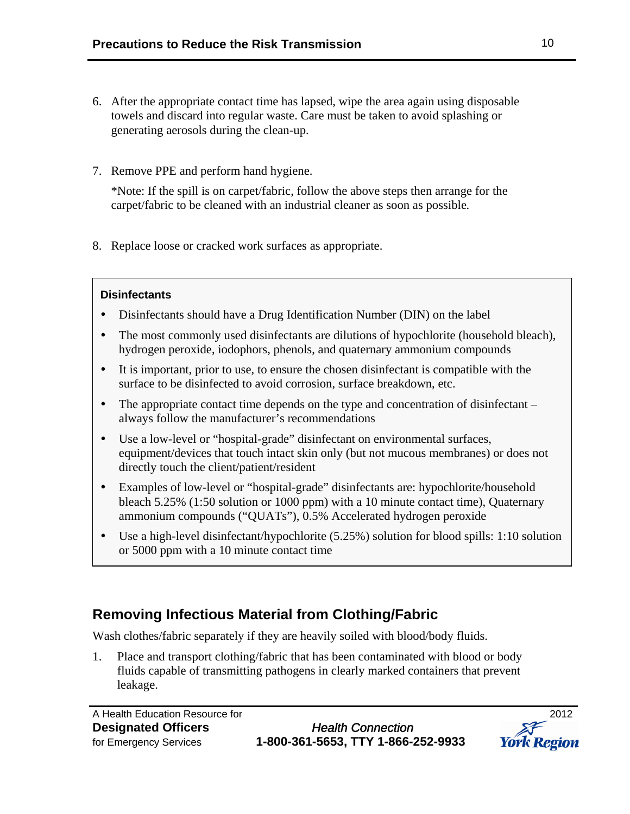- 6. After the appropriate contact time has lapsed, wipe the area again using disposable towels and discard into regular waste. Care must be taken to avoid splashing or generating aerosols during the clean-up.
- 7. Remove PPE and perform hand hygiene.

\*Note: If the spill is on carpet/fabric, follow the above steps then arrange for the carpet/fabric to be cleaned with an industrial cleaner as soon as possible*.* 

8. Replace loose or cracked work surfaces as appropriate.

#### **Disinfectants**

- Disinfectants should have a Drug Identification Number (DIN) on the label
- The most commonly used disinfectants are dilutions of hypochlorite (household bleach), hydrogen peroxide, iodophors, phenols, and quaternary ammonium compounds
- It is important, prior to use, to ensure the chosen disinfectant is compatible with the surface to be disinfected to avoid corrosion, surface breakdown, etc.
- The appropriate contact time depends on the type and concentration of disinfectant always follow the manufacturer's recommendations
- Use a low-level or "hospital-grade" disinfectant on environmental surfaces, equipment/devices that touch intact skin only (but not mucous membranes) or does not directly touch the client/patient/resident
- Examples of low-level or "hospital-grade" disinfectants are: hypochlorite/household bleach 5.25% (1:50 solution or 1000 ppm) with a 10 minute contact time), Quaternary ammonium compounds ("QUATs"), 0.5% Accelerated hydrogen peroxide
- Use a high-level disinfectant/hypochlorite (5.25%) solution for blood spills: 1:10 solution or 5000 ppm with a 10 minute contact time

## **Removing Infectious Material from Clothing/Fabric**

Wash clothes/fabric separately if they are heavily soiled with blood/body fluids.

1. Place and transport clothing/fabric that has been contaminated with blood or body fluids capable of transmitting pathogens in clearly marked containers that prevent leakage.

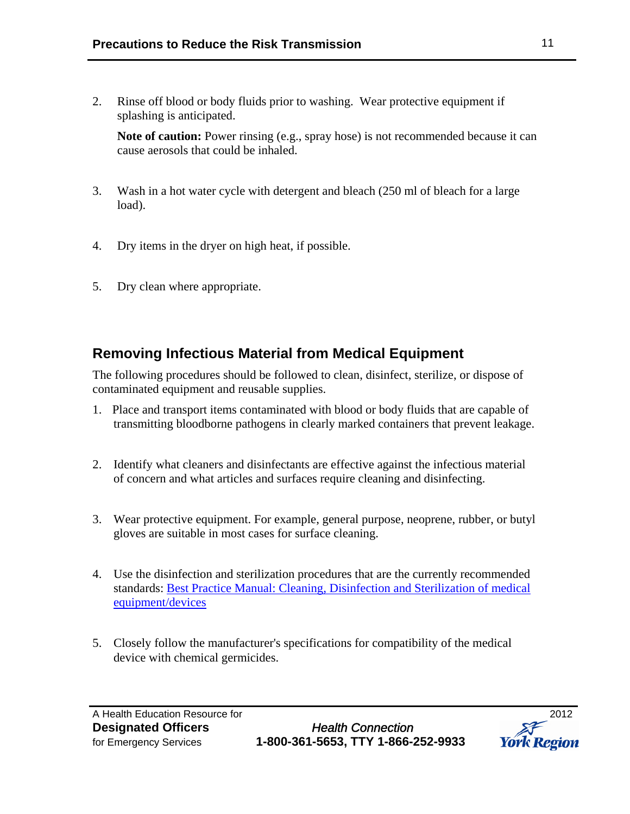2. Rinse off blood or body fluids prior to washing. Wear protective equipment if splashing is anticipated.

Note of caution: Power rinsing (e.g., spray hose) is not recommended because it can cause aerosols that could be inhaled.

- 3. Wash in a hot water cycle with detergent and bleach (250 ml of bleach for a large load).
- 4. Dry items in the dryer on high heat, if possible.
- 5. Dry clean where appropriate.

### **Removing Infectious Material from Medical Equipment**

The following procedures should be followed to clean, disinfect, sterilize, or dispose of contaminated equipment and reusable supplies.

- 1. Place and transport items contaminated with blood or body fluids that are capable of transmitting bloodborne pathogens in clearly marked containers that prevent leakage.
- 2. Identify what cleaners and disinfectants are effective against the infectious material of concern and what articles and surfaces require cleaning and disinfecting.
- 3. Wear protective equipment. For example, general purpose, neoprene, rubber, or butyl gloves are suitable in most cases for surface cleaning.
- 4. Use the disinfection and sterilization procedures that are the currently recommended standards: [Best Practice Manual: Cleaning, Disinfection and Sterilization of medical](http://www.oahpp.ca/resources/pidac-knowledge/best-practice-manuals/cleaning-disinfection-and-sterilization.html)  [equipment/devices](http://www.oahpp.ca/resources/pidac-knowledge/best-practice-manuals/cleaning-disinfection-and-sterilization.html)
- 5. Closely follow the manufacturer's specifications for compatibility of the medical device with chemical germicides.